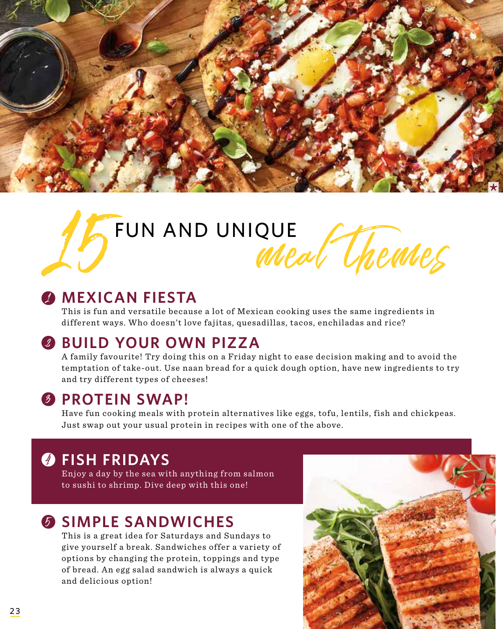

# FUN AND UNIQUE Chemies

## **MEXICAN FIESTA**

This is fun and versatile because a lot of Mexican cooking uses the same ingredients in different ways. Who doesn't love fajitas, quesadillas, tacos, enchiladas and rice?

## 2 **BUILD YOUR OWN PIZZA**

A family favourite! Try doing this on a Friday night to ease decision making and to avoid the temptation of take-out. Use naan bread for a quick dough option, have new ingredients to try and try different types of cheeses!

# 3 **PROTEIN SWAP!**

Have fun cooking meals with protein alternatives like eggs, tofu, lentils, fish and chickpeas. Just swap out your usual protein in recipes with one of the above.

# 4 **FISH FRIDAYS**

Enjoy a day by the sea with anything from salmon to sushi to shrimp. Dive deep with this one!

## 5 **SIMPLE SANDWICHES**

This is a great idea for Saturdays and Sundays to give yourself a break. Sandwiches offer a variety of options by changing the protein, toppings and type of bread. An egg salad sandwich is always a quick and delicious option!

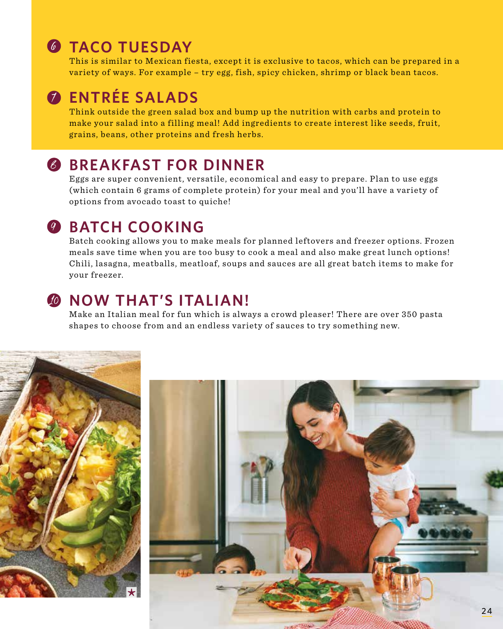# **O TACO TUESDAY**

This is similar to Mexican fiesta, except it is exclusive to tacos, which can be prepared in a variety of ways. For example – try egg, fish, spicy chicken, shrimp or black bean tacos.

#### **ENTRÉE SALADS** 7

Think outside the green salad box and bump up the nutrition with carbs and protein to make your salad into a filling meal! Add ingredients to create interest like seeds, fruit, grains, beans, other proteins and fresh herbs.

# **BREAKFAST FOR DINNER**

Eggs are super convenient, versatile, economical and easy to prepare. Plan to use eggs (which contain 6 grams of complete protein) for your meal and you'll have a variety of options from avocado toast to quiche!

# **BATCH COOKING**

Batch cooking allows you to make meals for planned leftovers and freezer options. Frozen meals save time when you are too busy to cook a meal and also make great lunch options! Chili, lasagna, meatballs, meatloaf, soups and sauces are all great batch items to make for your freezer.

# **WIND WITHAT'S ITALIAN!**

Make an Italian meal for fun which is always a crowd pleaser! There are over 350 pasta shapes to choose from and an endless variety of sauces to try something new.